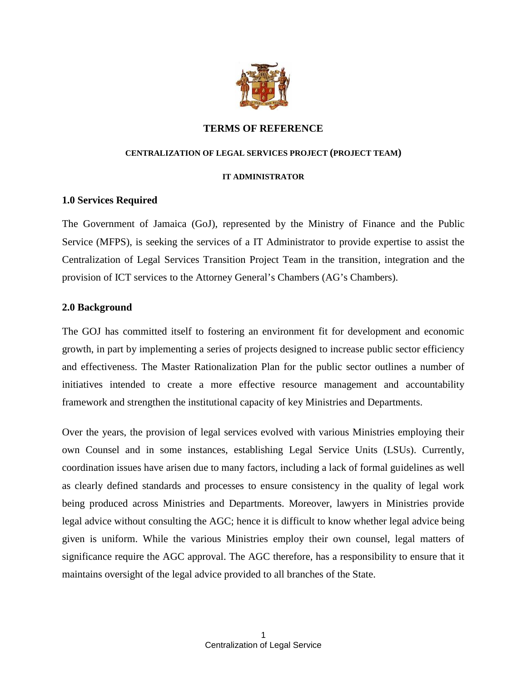

## **TERMS OF REFERENCE**

#### **CENTRALIZATION OF LEGAL SERVICES PROJECT (PROJECT TEAM)**

#### **IT ADMINISTRATOR**

### **1.0 Services Required**

The Government of Jamaica (GoJ), represented by the Ministry of Finance and the Public Service (MFPS), is seeking the services of a IT Administrator to provide expertise to assist the Centralization of Legal Services Transition Project Team in the transition, integration and the provision of ICT services to the Attorney General's Chambers (AG's Chambers).

### **2.0 Background**

The GOJ has committed itself to fostering an environment fit for development and economic growth, in part by implementing a series of projects designed to increase public sector efficiency and effectiveness. The Master Rationalization Plan for the public sector outlines a number of initiatives intended to create a more effective resource management and accountability framework and strengthen the institutional capacity of key Ministries and Departments.

Over the years, the provision of legal services evolved with various Ministries employing their own Counsel and in some instances, establishing Legal Service Units (LSUs). Currently, coordination issues have arisen due to many factors, including a lack of formal guidelines as well as clearly defined standards and processes to ensure consistency in the quality of legal work being produced across Ministries and Departments. Moreover, lawyers in Ministries provide legal advice without consulting the AGC; hence it is difficult to know whether legal advice being given is uniform. While the various Ministries employ their own counsel, legal matters of significance require the AGC approval. The AGC therefore, has a responsibility to ensure that it maintains oversight of the legal advice provided to all branches of the State.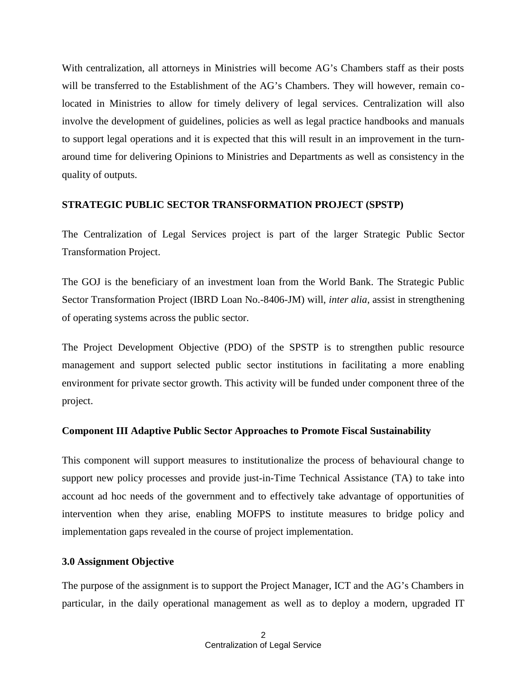With centralization, all attorneys in Ministries will become AG's Chambers staff as their posts will be transferred to the Establishment of the AG's Chambers. They will however, remain colocated in Ministries to allow for timely delivery of legal services. Centralization will also involve the development of guidelines, policies as well as legal practice handbooks and manuals to support legal operations and it is expected that this will result in an improvement in the turn around time for delivering Opinions to Ministries and Departments as well as consistency in the quality of outputs.

#### **STRATEGIC PUBLIC SECTOR TRANSFORMATION PROJECT (SPSTP)**

The Centralization of Legal Services project is part of the larger Strategic Public Sector Transformation Project.

The GOJ is the beneficiary of an investment loan from the World Bank. The Strategic Public Sector Transformation Project (IBRD Loan No.-8406-JM) will, *inter alia*, assist in strengthening of operating systems across the public sector.

The Project Development Objective (PDO) of the SPSTP is to strengthen public resource management and support selected public sector institutions in facilitating a more enabling environment for private sector growth. This activity will be funded under component three of the project.

#### **Component III Adaptive Public Sector Approaches to Promote Fiscal Sustainability**

This component will support measures to institutionalize the process of behavioural change to support new policy processes and provide just-in-Time Technical Assistance (TA) to take into account ad hoc needs of the government and to effectively take advantage of opportunities of intervention when they arise, enabling MOFPS to institute measures to bridge policy and implementation gaps revealed in the course of project implementation.

#### **3.0 Assignment Objective**

The purpose of the assignment is to support the Project Manager, ICT and the AG's Chambers in particular, in the daily operational management as well as to deploy a modern, upgraded IT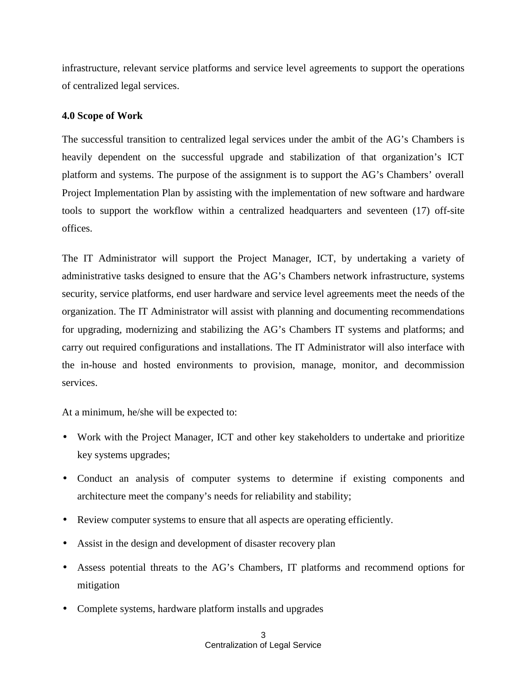infrastructure, relevant service platforms and service level agreements to support the operations of centralized legal services.

### **4.0 Scope of Work**

The successful transition to centralized legal services under the ambit of the AG's Chambers is heavily dependent on the successful upgrade and stabilization of that organization's ICT platform and systems. The purpose of the assignment is to support the AG's Chambers' overall Project Implementation Plan by assisting with the implementation of new software and hardware tools to support the workflow within a centralized headquarters and seventeen (17) off-site offices.

The IT Administrator will support the Project Manager, ICT, by undertaking a variety of administrative tasks designed to ensure that the AG's Chambers network infrastructure, systems security, service platforms, end user hardware and service level agreements meet the needs of the organization. The IT Administrator will assist with planning and documenting recommendations for upgrading, modernizing and stabilizing the AG's Chambers IT systems and platforms; and carry out required configurations and installations. The IT Administrator will also interface with the in-house and hosted environments to provision, manage, monitor, and decommission services.

At a minimum, he/she will be expected to:

- Work with the Project Manager, ICT and other key stakeholders to undertake and prioritize key systems upgrades;
- Conduct an analysis of computer systems to determine if existing components and architecture meet the company's needs for reliability and stability;
- Review computer systems to ensure that all aspects are operating efficiently.
- Assist in the design and development of disaster recovery plan
- Assess potential threats to the AG's Chambers, IT platforms and recommend options for mitigation
- Complete systems, hardware platform installs and upgrades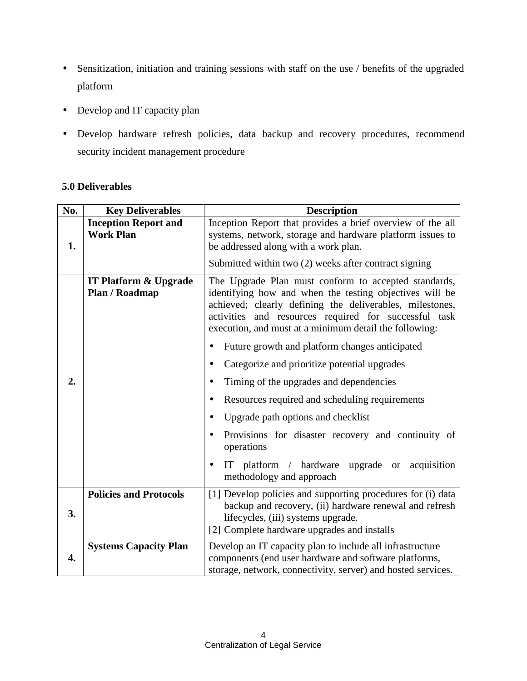- Sensitization, initiation and training sessions with staff on the use / benefits of the upgraded platform
- Develop and IT capacity plan
- Develop hardware refresh policies, data backup and recovery procedures, recommend security incident management procedure

# **5.0 Deliverables**

| No. | <b>Key Deliverables</b>                            | <b>Description</b>                                                                                                                                                                                                                                                                             |
|-----|----------------------------------------------------|------------------------------------------------------------------------------------------------------------------------------------------------------------------------------------------------------------------------------------------------------------------------------------------------|
| 1.  | <b>Inception Report and</b><br><b>Work Plan</b>    | Inception Report that provides a brief overview of the all<br>systems, network, storage and hardware platform issues to<br>be addressed along with a work plan.                                                                                                                                |
|     |                                                    | Submitted within two (2) weeks after contract signing                                                                                                                                                                                                                                          |
|     | <b>IT Platform &amp; Upgrade</b><br>Plan / Roadmap | The Upgrade Plan must conform to accepted standards,<br>identifying how and when the testing objectives will be<br>achieved; clearly defining the deliverables, milestones,<br>activities and resources required for successful task<br>execution, and must at a minimum detail the following: |
|     |                                                    | Future growth and platform changes anticipated<br>$\bullet$                                                                                                                                                                                                                                    |
|     |                                                    | Categorize and prioritize potential upgrades<br>$\bullet$                                                                                                                                                                                                                                      |
| 2.  |                                                    | Timing of the upgrades and dependencies<br>$\bullet$                                                                                                                                                                                                                                           |
|     |                                                    | Resources required and scheduling requirements<br>$\bullet$                                                                                                                                                                                                                                    |
|     |                                                    | Upgrade path options and checklist<br>$\bullet$                                                                                                                                                                                                                                                |
|     |                                                    | Provisions for disaster recovery and continuity of<br>$\bullet$<br>operations                                                                                                                                                                                                                  |
|     |                                                    | IT platform / hardware<br>upgrade or acquisition<br>$\bullet$<br>methodology and approach                                                                                                                                                                                                      |
| 3.  | <b>Policies and Protocols</b>                      | [1] Develop policies and supporting procedures for (i) data<br>backup and recovery, (ii) hardware renewal and refresh<br>lifecycles, (iii) systems upgrade.<br>[2] Complete hardware upgrades and installs                                                                                     |
| 4.  | <b>Systems Capacity Plan</b>                       | Develop an IT capacity plan to include all infrastructure<br>components (end user hardware and software platforms,<br>storage, network, connectivity, server) and hosted services.                                                                                                             |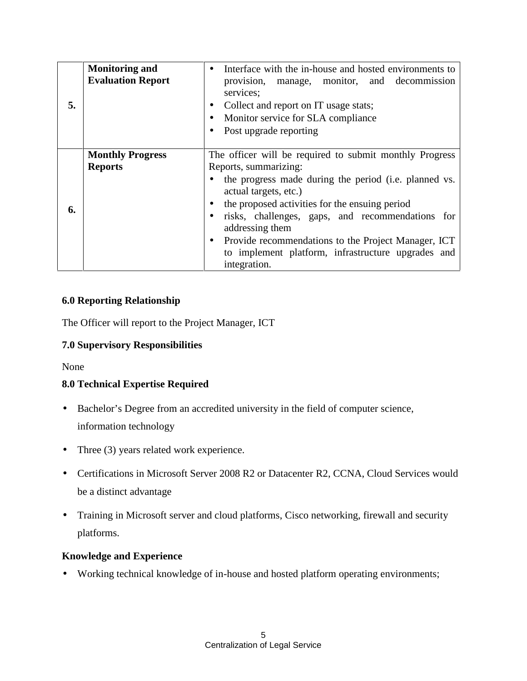| <b>Monitoring and</b><br><b>Evaluation Report</b><br>5. | Interface with the in-house and hosted environments to<br>$\bullet$<br>provision, manage, monitor, and decommission<br>services;<br>Collect and report on IT usage stats;<br>$\bullet$<br>Monitor service for SLA compliance<br>$\bullet$<br>Post upgrade reporting                                                                                                                                                                   |
|---------------------------------------------------------|---------------------------------------------------------------------------------------------------------------------------------------------------------------------------------------------------------------------------------------------------------------------------------------------------------------------------------------------------------------------------------------------------------------------------------------|
| <b>Monthly Progress</b><br><b>Reports</b><br>6.         | The officer will be required to submit monthly Progress<br>Reports, summarizing:<br>the progress made during the period (i.e. planned vs.<br>actual targets, etc.)<br>the proposed activities for the ensuing period<br>risks, challenges, gaps, and recommendations for<br>addressing them<br>Provide recommendations to the Project Manager, ICT<br>$\bullet$<br>to implement platform, infrastructure upgrades and<br>integration. |

# **6.0 Reporting Relationship**

The Officer will report to the Project Manager, ICT

# **7.0 Supervisory Responsibilities**

None

# **8.0 Technical Expertise Required**

- Bachelor's Degree from an accredited university in the field of computer science, information technology
- Three (3) years related work experience.
- Certifications in Microsoft Server 2008 R2 or Datacenter R2, CCNA, Cloud Services would be a distinct advantage
- Training in Microsoft server and cloud platforms, Cisco networking, firewall and security platforms.

# **Knowledge and Experience**

Working technical knowledge of in-house and hosted platform operating environments;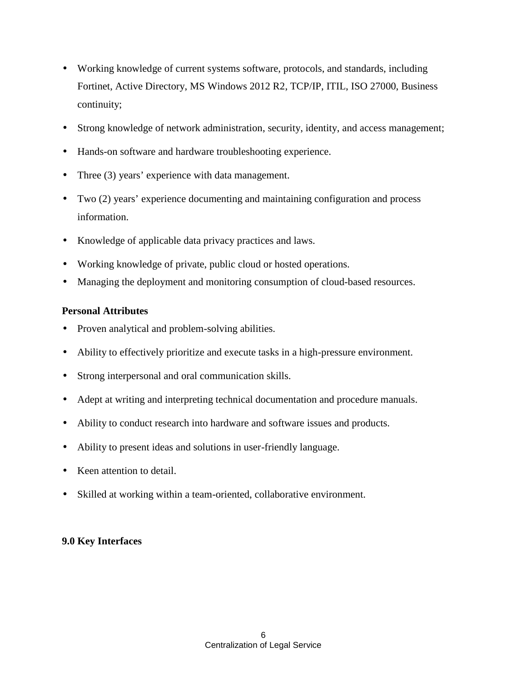- Working knowledge of current systems software, protocols, and standards, including Fortinet, Active Directory, MS Windows 2012 R2, TCP/IP, ITIL, ISO 27000, Business continuity;
- Strong knowledge of network administration, security, identity, and access management;
- Hands-on software and hardware troubleshooting experience.
- Three (3) years' experience with data management.
- Two (2) years' experience documenting and maintaining configuration and process information.
- Knowledge of applicable data privacy practices and laws.
- Working knowledge of private, public cloud or hosted operations.
- Managing the deployment and monitoring consumption of cloud-based resources.

## **Personal Attributes**

- Proven analytical and problem-solving abilities.
- Ability to effectively prioritize and execute tasks in a high-pressure environment.
- Strong interpersonal and oral communication skills.
- Adept at writing and interpreting technical documentation and procedure manuals.
- Ability to conduct research into hardware and software issues and products.
- Ability to present ideas and solutions in user-friendly language.
- Keen attention to detail.
- Skilled at working within a team-oriented, collaborative environment.

# **9.0 Key Interfaces**